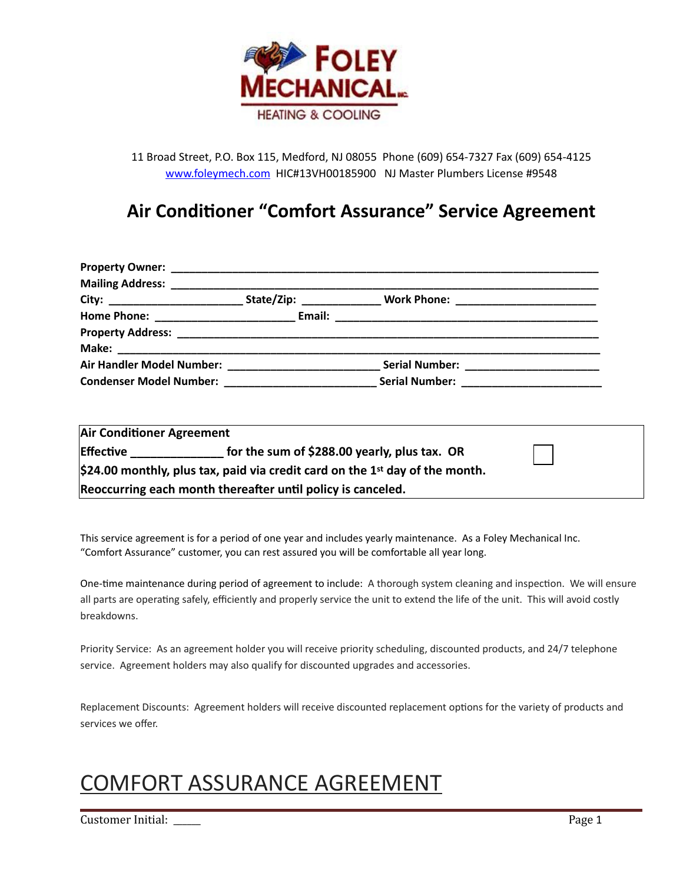

11 Broad Street, P.O. Box 115, Medford, NJ 08055 Phone (609) 654-7327 Fax (609) 654-4125 [www.foleymech.com](http://www.foleymech.com) HIC#13VH00185900 NJ Master Plumbers License #9548

## **Air Conditioner "Comfort Assurance" Service Agreement**

|  | Serial Number: _________________________ |  |
|--|------------------------------------------|--|
|  |                                          |  |

| <b>Air Conditioner Agreement</b>                                                               |                                              |  |  |  |
|------------------------------------------------------------------------------------------------|----------------------------------------------|--|--|--|
| <b>Effective</b>                                                                               | for the sum of \$288.00 yearly, plus tax. OR |  |  |  |
| $\beta$ 24.00 monthly, plus tax, paid via credit card on the 1 <sup>st</sup> day of the month. |                                              |  |  |  |
| Reoccurring each month thereafter until policy is canceled.                                    |                                              |  |  |  |

This service agreement is for a period of one year and includes yearly maintenance. As a Foley Mechanical Inc. "Comfort Assurance" customer, you can rest assured you will be comfortable all year long.

One-time maintenance during period of agreement to include: A thorough system cleaning and inspection. We will ensure all parts are operating safely, efficiently and properly service the unit to extend the life of the unit. This will avoid costly breakdowns.

Priority Service: As an agreement holder you will receive priority scheduling, discounted products, and 24/7 telephone service. Agreement holders may also qualify for discounted upgrades and accessories.

Replacement Discounts: Agreement holders will receive discounted replacement options for the variety of products and services we offer.

# COMFORT ASSURANCE AGREEMENT

Customer Initial: \_\_\_\_\_\_ Page 1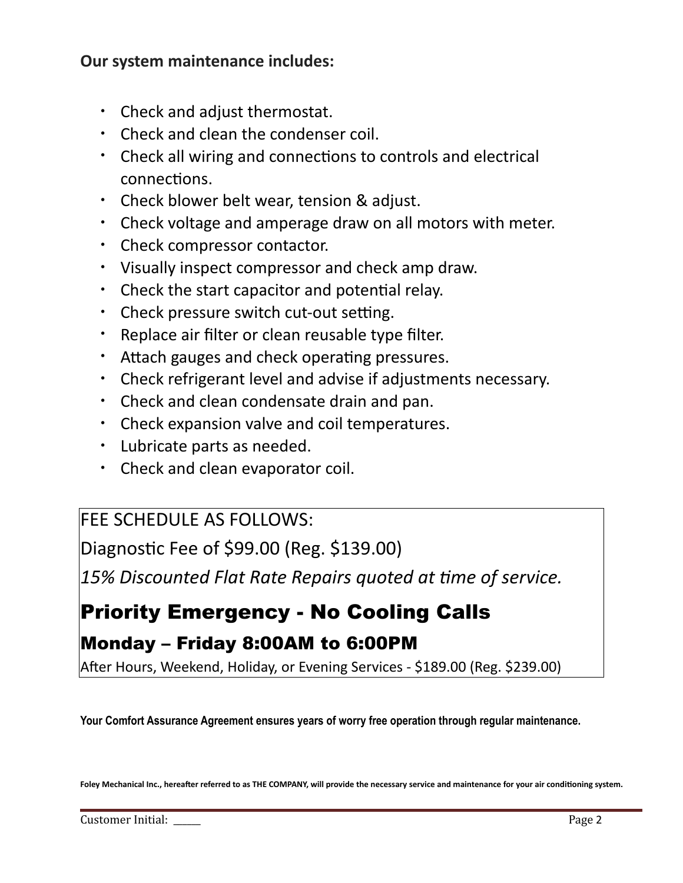### **Our system maintenance includes:**

- Check and adjust thermostat.
- Check and clean the condenser coil.
- Check all wiring and connections to controls and electrical connections.
- Check blower belt wear, tension & adjust.
- Check voltage and amperage draw on all motors with meter.
- Check compressor contactor.
- Visually inspect compressor and check amp draw.
- $\cdot$  Check the start capacitor and potential relay.
- Check pressure switch cut-out setting.
- Replace air filter or clean reusable type filter.
- Attach gauges and check operating pressures.
- Check refrigerant level and advise if adjustments necessary.
- Check and clean condensate drain and pan.
- Check expansion valve and coil temperatures.
- Lubricate parts as needed.
- Check and clean evaporator coil.

## FEE SCHEDULE AS FOLLOWS:

Diagnostic Fee of \$99.00 (Reg. \$139.00)

15% Discounted Flat Rate Repairs quoted at time of service.

# Priority Emergency - No Cooling Calls

### Monday – Friday 8:00AM to 6:00PM

After Hours, Weekend, Holiday, or Evening Services - \$189.00 (Reg. \$239.00)

**Your Comfort Assurance Agreement ensures years of worry free operation through regular maintenance.** 

Foley Mechanical Inc., hereafter referred to as THE COMPANY, will provide the necessary service and maintenance for your air conditioning system.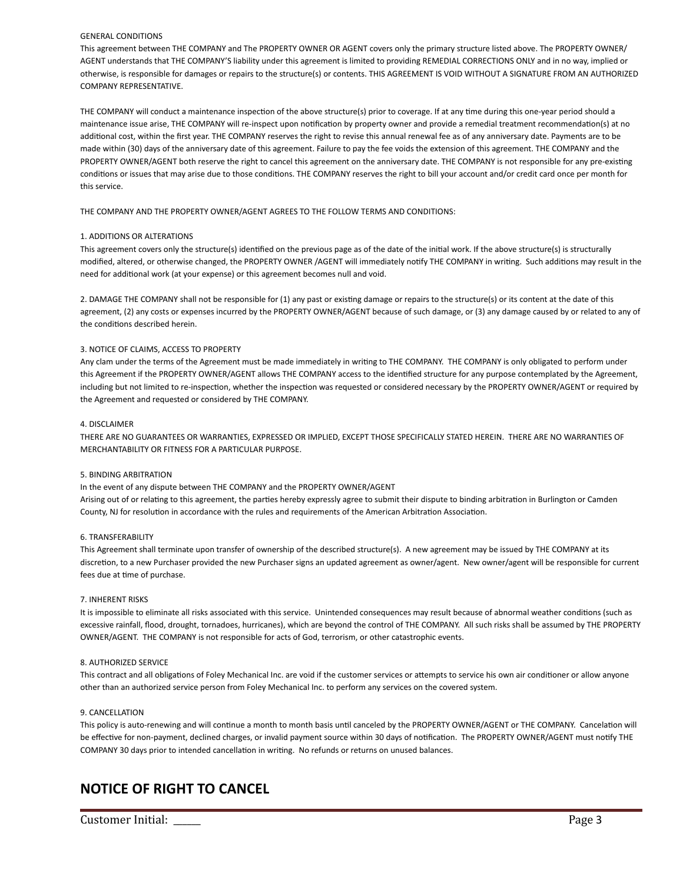#### GENERAL CONDITIONS

This agreement between THE COMPANY and The PROPERTY OWNER OR AGENT covers only the primary structure listed above. The PROPERTY OWNER/ AGENT understands that THE COMPANY'S liability under this agreement is limited to providing REMEDIAL CORRECTIONS ONLY and in no way, implied or otherwise, is responsible for damages or repairs to the structure(s) or contents. THIS AGREEMENT IS VOID WITHOUT A SIGNATURE FROM AN AUTHORIZED COMPANY REPRESENTATIVE.

THE COMPANY will conduct a maintenance inspection of the above structure(s) prior to coverage. If at any time during this one-year period should a maintenance issue arise, THE COMPANY will re-inspect upon notification by property owner and provide a remedial treatment recommendation(s) at no additional cost, within the first year. THE COMPANY reserves the right to revise this annual renewal fee as of any anniversary date. Payments are to be made within (30) days of the anniversary date of this agreement. Failure to pay the fee voids the extension of this agreement. THE COMPANY and the PROPERTY OWNER/AGENT both reserve the right to cancel this agreement on the anniversary date. THE COMPANY is not responsible for any pre-existing conditions or issues that may arise due to those conditions. THE COMPANY reserves the right to bill your account and/or credit card once per month for this service.

THE COMPANY AND THE PROPERTY OWNER/AGENT AGREES TO THE FOLLOW TERMS AND CONDITIONS:

#### 1. ADDITIONS OR ALTERATIONS

This agreement covers only the structure(s) identified on the previous page as of the date of the initial work. If the above structure(s) is structurally modified, altered, or otherwise changed, the PROPERTY OWNER /AGENT will immediately notify THE COMPANY in writing. Such additions may result in the need for additional work (at your expense) or this agreement becomes null and void.

2. DAMAGE THE COMPANY shall not be responsible for (1) any past or existing damage or repairs to the structure(s) or its content at the date of this agreement, (2) any costs or expenses incurred by the PROPERTY OWNER/AGENT because of such damage, or (3) any damage caused by or related to any of the conditions described herein.

#### 3. NOTICE OF CLAIMS, ACCESS TO PROPERTY

Any clam under the terms of the Agreement must be made immediately in writing to THE COMPANY. THE COMPANY is only obligated to perform under this Agreement if the PROPERTY OWNER/AGENT allows THE COMPANY access to the identified structure for any purpose contemplated by the Agreement, including but not limited to re-inspection, whether the inspection was requested or considered necessary by the PROPERTY OWNER/AGENT or required by the Agreement and requested or considered by THE COMPANY.

#### 4. DISCLAIMER

THERE ARE NO GUARANTEES OR WARRANTIES, EXPRESSED OR IMPLIED, EXCEPT THOSE SPECIFICALLY STATED HEREIN. THERE ARE NO WARRANTIES OF MERCHANTABILITY OR FITNESS FOR A PARTICULAR PURPOSE.

#### 5. BINDING ARBITRATION

In the event of any dispute between THE COMPANY and the PROPERTY OWNER/AGENT Arising out of or relating to this agreement, the parties hereby expressly agree to submit their dispute to binding arbitration in Burlington or Camden County, NJ for resolution in accordance with the rules and requirements of the American Arbitration Association.

#### 6. TRANSFERABILITY

This Agreement shall terminate upon transfer of ownership of the described structure(s). A new agreement may be issued by THE COMPANY at its discretion, to a new Purchaser provided the new Purchaser signs an updated agreement as owner/agent. New owner/agent will be responsible for current fees due at time of purchase.

#### 7. INHERENT RISKS

It is impossible to eliminate all risks associated with this service. Unintended consequences may result because of abnormal weather conditions (such as excessive rainfall, flood, drought, tornadoes, hurricanes), which are beyond the control of THE COMPANY. All such risks shall be assumed by THE PROPERTY OWNER/AGENT. THE COMPANY is not responsible for acts of God, terrorism, or other catastrophic events.

#### 8. AUTHORIZED SERVICE

This contract and all obligations of Foley Mechanical Inc. are void if the customer services or attempts to service his own air conditioner or allow anyone other than an authorized service person from Foley Mechanical Inc. to perform any services on the covered system.

#### 9. CANCELLATION

This policy is auto-renewing and will continue a month to month basis until canceled by the PROPERTY OWNER/AGENT or THE COMPANY. Cancelation will be effective for non-payment, declined charges, or invalid payment source within 30 days of notification. The PROPERTY OWNER/AGENT must notify THE COMPANY 30 days prior to intended cancellation in writing. No refunds or returns on unused balances.

### **NOTICE OF RIGHT TO CANCEL**

Customer Initial: **Example 2** Page 3